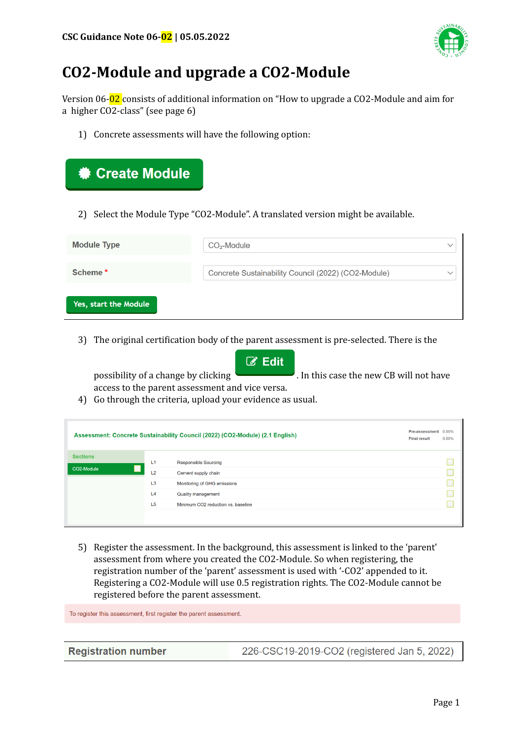

# **CO2-Module and upgrade a CO2-Module**

Version 06-02 consists of additional information on "How to upgrade a CO2-Module and aim for a higher CO2-class" (see page 6)

1) Concrete assessments will have the following option:

| <b><math>\bullet</math> Create Module</b>                                        |                                                     |              |
|----------------------------------------------------------------------------------|-----------------------------------------------------|--------------|
| 2) Select the Module Type "CO2-Module". A translated version might be available. |                                                     |              |
| <b>Module Type</b>                                                               | CO <sub>2</sub> -Module                             | $\checkmark$ |
| Scheme*                                                                          | Concrete Sustainability Council (2022) (CO2-Module) | $\checkmark$ |
| Yes, start the Module                                                            |                                                     |              |

3) The original certification body of the parent assessment is pre-selected. There is the



4) Go through the criteria, upload your evidence as usual.

| Assessment: Concrete Sustainability Council (2022) (CO2-Module) (2.1 English) |                | Pre-assessment 0.00%<br><b>Final result</b> | 0.00% |  |
|-------------------------------------------------------------------------------|----------------|---------------------------------------------|-------|--|
| <b>Sections</b>                                                               | L1             | <b>Responsible Sourcing</b>                 |       |  |
| CO2-Module                                                                    | L <sub>2</sub> | Cement supply chain                         |       |  |
|                                                                               | L <sub>3</sub> | Monitoring of GHG emissions                 |       |  |
|                                                                               | L4             | Quality management                          |       |  |
|                                                                               | L <sub>5</sub> | Minimum CO2 reduction vs. baseline          |       |  |
|                                                                               |                |                                             |       |  |

5) Register the assessment. In the background, this assessment is linked to the 'parent' assessment from where you created the CO2-Module. So when registering, the registration number of the 'parent' assessment is used with '-CO2' appended to it. Registering a CO2-Module will use 0.5 registration rights. The CO2-Module cannot be registered before the parent assessment.

To register this assessment, first register the parent assessment.

**Registration number** 

226-CSC19-2019-CO2 (registered Jan 5, 2022)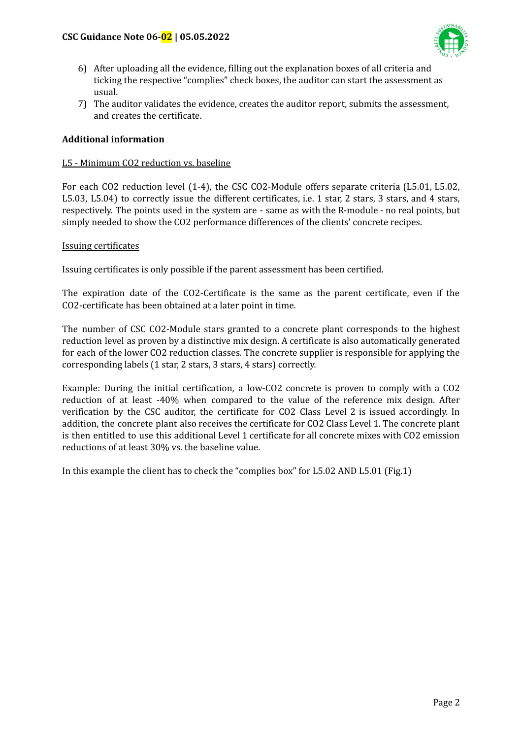#### **CSC Guidance Note 06-02 | 05.05.2022**



- 6) After uploading all the evidence, filling out the explanation boxes of all criteria and ticking the respective "complies" check boxes, the auditor can start the assessment as usual.
- 7) The auditor validates the evidence, creates the auditor report, submits the assessment, and creates the certificate.

#### **Additional information**

#### L5 - Minimum CO2 reduction vs. baseline

For each CO2 reduction level (1-4), the CSC CO2-Module offers separate criteria (L5.01, L5.02, L5.03, L5.04) to correctly issue the different certificates, i.e. 1 star, 2 stars, 3 stars, and 4 stars, respectively. The points used in the system are - same as with the R-module - no real points, but simply needed to show the CO2 performance differences of the clients' concrete recipes.

#### Issuing certificates

Issuing certificates is only possible if the parent assessment has been certified.

The expiration date of the CO2-Certificate is the same as the parent certificate, even if the CO2-certificate has been obtained at a later point in time.

The number of CSC CO2-Module stars granted to a concrete plant corresponds to the highest reduction level as proven by a distinctive mix design. A certificate is also automatically generated for each of the lower CO2 reduction classes. The concrete supplier is responsible for applying the corresponding labels (1 star, 2 stars, 3 stars, 4 stars) correctly.

Example: During the initial certification, a low-CO2 concrete is proven to comply with a CO2 reduction of at least -40% when compared to the value of the reference mix design. After verification by the CSC auditor, the certificate for CO2 Class Level 2 is issued accordingly. In addition, the concrete plant also receives the certificate for CO2 Class Level 1. The concrete plant is then entitled to use this additional Level 1 certificate for all concrete mixes with CO2 emission reductions of at least 30% vs. the baseline value.

In this example the client has to check the "complies box" for L5.02 AND L5.01 (Fig.1)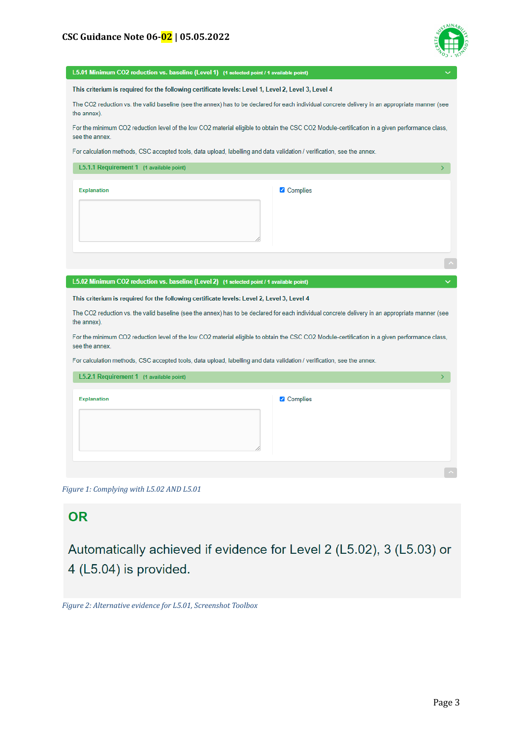

| L5.01 Minimum CO2 reduction vs. baseline (Level 1) (1 selected point / 1 available point)                                                                       |          |  |
|-----------------------------------------------------------------------------------------------------------------------------------------------------------------|----------|--|
| This criterium is required for the following certificate levels: Level 1, Level 2, Level 3, Level 4                                                             |          |  |
| The CO2 reduction vs. the valid baseline (see the annex) has to be declared for each individual concrete delivery in an appropriate manner (see<br>the annex).  |          |  |
| For the minimum CO2 reduction level of the low CO2 material eligible to obtain the CSC CO2 Module-certification in a given performance class,<br>see the annex. |          |  |
| For calculation methods, CSC accepted tools, data upload, labelling and data validation / verification, see the annex.                                          |          |  |
| L5.1.1 Requirement 1 (1 available point)                                                                                                                        | У        |  |
| <b>Explanation</b>                                                                                                                                              | Complies |  |
| L5.02 Minimum CO2 reduction vs. baseline (Level 2) (1 selected point / 1 available point)                                                                       |          |  |
| This criterium is required for the following certificate levels: Level 2, Level 3, Level 4                                                                      |          |  |
| The CO2 reduction vs. the valid baseline (see the annex) has to be declared for each individual concrete delivery in an appropriate manner (see<br>the annex).  |          |  |
| For the minimum CO2 reduction level of the low CO2 material eligible to obtain the CSC CO2 Module-certification in a given performance class,<br>see the annex. |          |  |
| For calculation methods, CSC accepted tools, data upload, labelling and data validation / verification, see the annex.                                          |          |  |
| L5.2.1 Requirement 1 (1 available point)                                                                                                                        | ×.       |  |
| <b>Explanation</b>                                                                                                                                              | Complies |  |

*Figure 1: Complying with L5.02 AND L5.01*

## **OR**

Automatically achieved if evidence for Level 2 (L5.02), 3 (L5.03) or 4 (L5.04) is provided.

*Figure 2: Alternative evidence for L5.01, Screenshot Toolbox*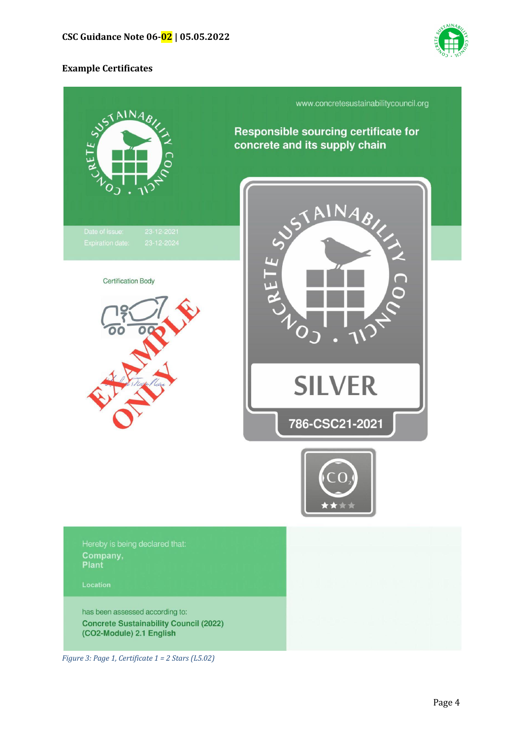

### **Example Certificates**



*Figure 3: Page 1, Certificate 1 = 2 Stars (L5.02)*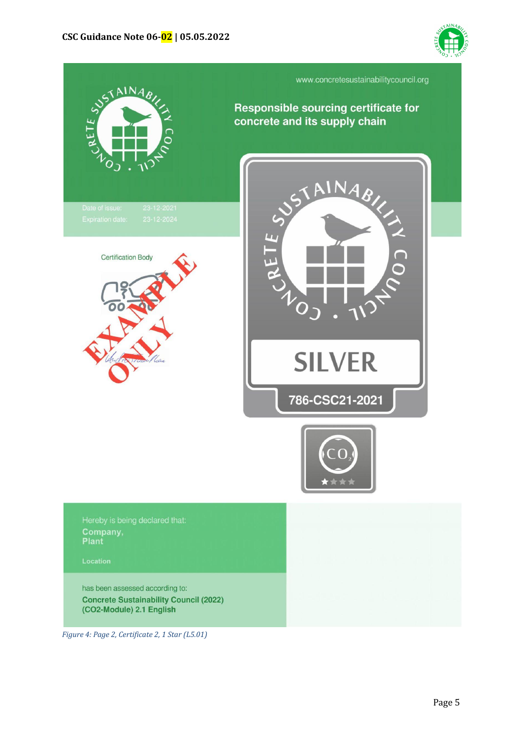



*Figure 4: Page 2, Certificate 2, 1 Star (L5.01)*